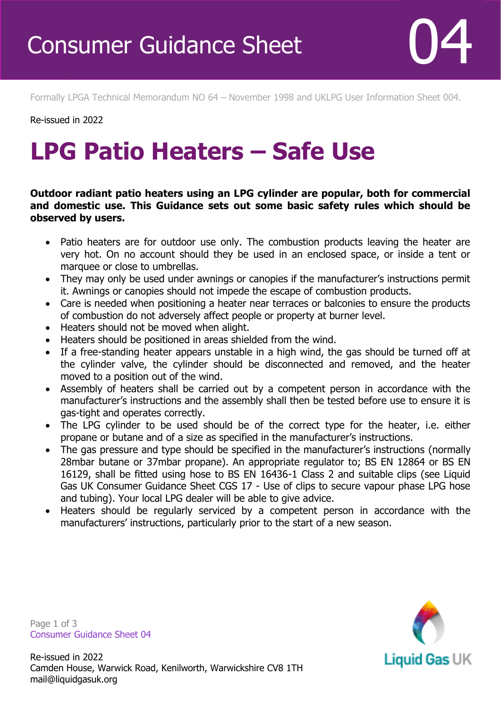Formally LPGA Technical Memorandum NO 64 – November 1998 and UKLPG User Information Sheet 004.

Re-issued in 2022

Revised April 2016

## **LPG Patio Heaters – Safe Use**

**Outdoor radiant patio heaters using an LPG cylinder are popular, both for commercial and domestic use. This Guidance sets out some basic safety rules which should be observed by users.** 

- Patio heaters are for outdoor use only. The combustion products leaving the heater are very hot. On no account should they be used in an enclosed space, or inside a tent or marquee or close to umbrellas.
- They may only be used under awnings or canopies if the manufacturer's instructions permit it. Awnings or canopies should not impede the escape of combustion products.
- Care is needed when positioning a heater near terraces or balconies to ensure the products of combustion do not adversely affect people or property at burner level.
- Heaters should not be moved when alight.
- Heaters should be positioned in areas shielded from the wind.
- If a free-standing heater appears unstable in a high wind, the gas should be turned off at the cylinder valve, the cylinder should be disconnected and removed, and the heater moved to a position out of the wind.
- Assembly of heaters shall be carried out by a competent person in accordance with the manufacturer's instructions and the assembly shall then be tested before use to ensure it is gas-tight and operates correctly.
- The LPG cylinder to be used should be of the correct type for the heater, i.e. either propane or butane and of a size as specified in the manufacturer's instructions.
- The gas pressure and type should be specified in the manufacturer's instructions (normally 28mbar butane or 37mbar propane). An appropriate regulator to; BS EN 12864 or BS EN 16129, shall be fitted using hose to BS EN 16436-1 Class 2 and suitable clips (see Liquid Gas UK Consumer Guidance Sheet CGS 17 - Use of clips to secure vapour phase LPG hose and tubing). Your local LPG dealer will be able to give advice.
- Heaters should be regularly serviced by a competent person in accordance with the manufacturers' instructions, particularly prior to the start of a new season.

**Liquid Gas UK** 

Page 1 of 3 Consumer Guidance Sheet 04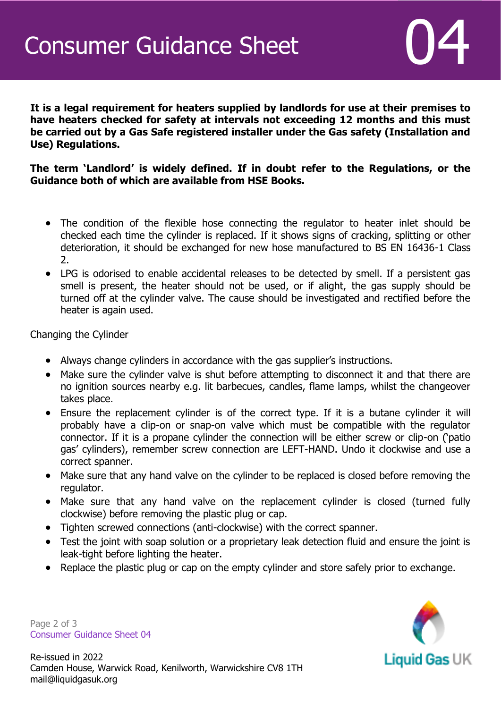**It is a legal requirement for heaters supplied by landlords for use at their premises to have heaters checked for safety at intervals not exceeding 12 months and this must be carried out by a Gas Safe registered installer under the Gas safety (Installation and Use) Regulations.** 

**The term 'Landlord' is widely defined. If in doubt refer to the Regulations, or the Guidance both of which are available from HSE Books.**

- The condition of the flexible hose connecting the regulator to heater inlet should be checked each time the cylinder is replaced. If it shows signs of cracking, splitting or other deterioration, it should be exchanged for new hose manufactured to BS EN 16436-1 Class 2.
- LPG is odorised to enable accidental releases to be detected by smell. If a persistent gas smell is present, the heater should not be used, or if alight, the gas supply should be turned off at the cylinder valve. The cause should be investigated and rectified before the heater is again used.

Changing the Cylinder

- Always change cylinders in accordance with the gas supplier's instructions.
- Make sure the cylinder valve is shut before attempting to disconnect it and that there are no ignition sources nearby e.g. lit barbecues, candles, flame lamps, whilst the changeover takes place.
- Ensure the replacement cylinder is of the correct type. If it is a butane cylinder it will probably have a clip-on or snap-on valve which must be compatible with the regulator connector. If it is a propane cylinder the connection will be either screw or clip-on ('patio gas' cylinders), remember screw connection are LEFT-HAND. Undo it clockwise and use a correct spanner.
- Make sure that any hand valve on the cylinder to be replaced is closed before removing the regulator.
- Make sure that any hand valve on the replacement cylinder is closed (turned fully clockwise) before removing the plastic plug or cap.
- Tighten screwed connections (anti-clockwise) with the correct spanner.
- Test the joint with soap solution or a proprietary leak detection fluid and ensure the joint is leak-tight before lighting the heater.
- Replace the plastic plug or cap on the empty cylinder and store safely prior to exchange.

**Liquid Gas UK** 

Page 2 of 3 Consumer Guidance Sheet 04